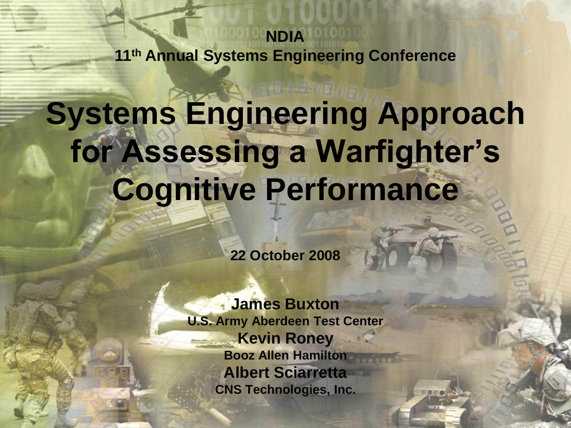**NDIA 11th Annual Systems Engineering Conference**

#### **Systems Engineering Approach for Assessing a Warfighter's Cognitive Performance**

**22 October 2008**

**James Buxton U.S. Army Aberdeen Test Center Kevin Roney Booz Allen Hamilton Albert Sciarretta CNS Technologies, Inc.**

1

 $0000$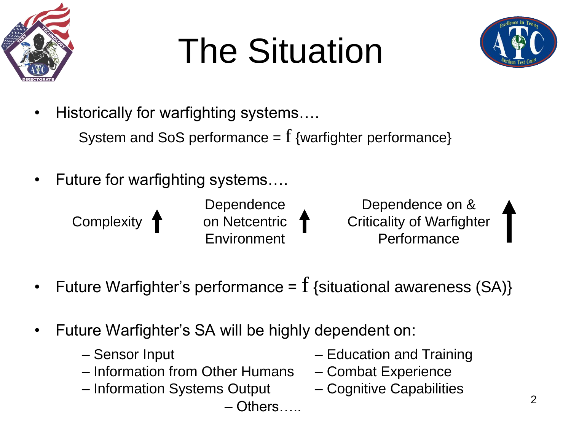

## The Situation



• Historically for warfighting systems....

System and SoS performance  $= f$  {warfighter performance}

• Future for warfighting systems….

Complexity 1

**Dependence** on Netcentric **Environment** 

Dependence on & Criticality of Warfighter Performance

- Future Warfighter's performance =  $f$  {situational awareness (SA)}
- Future Warfighter's SA will be highly dependent on:
	- Sensor Input
	- Information from Other Humans Combat Experience
	- Information Systems Output Cognitive Capabilities

– Others…..

- Education and Training
- 
-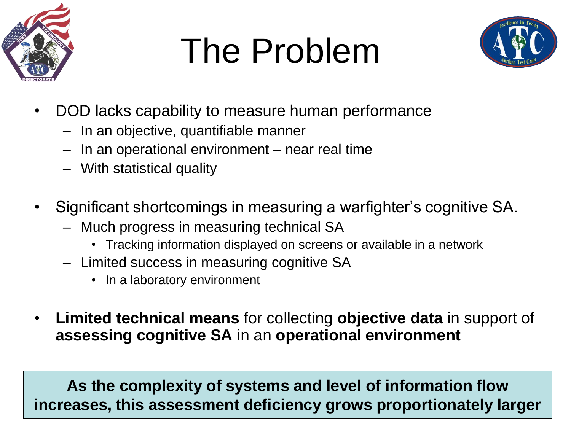

#### The Problem



- DOD lacks capability to measure human performance
	- In an objective, quantifiable manner
	- In an operational environment near real time
	- With statistical quality
- Significant shortcomings in measuring a warfighter's cognitive SA.
	- Much progress in measuring technical SA
		- Tracking information displayed on screens or available in a network
	- Limited success in measuring cognitive SA
		- In a laboratory environment
- **Limited technical means** for collecting **objective data** in support of **assessing cognitive SA** in an **operational environment**

3 **increases, this assessment deficiency grows proportionately largerAs the complexity of systems and level of information flow**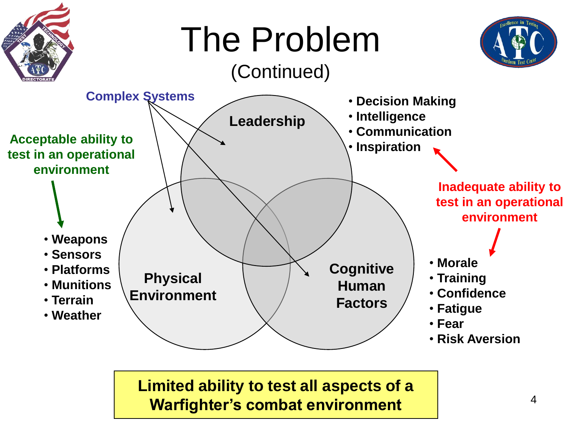

**Limited ability to test all aspects of a Warfighter's combat environment**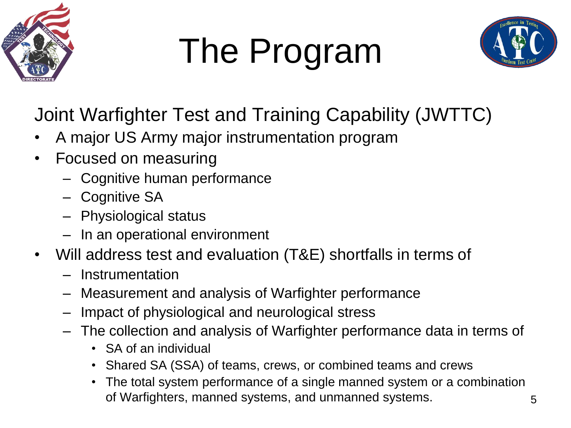

## The Program



Joint Warfighter Test and Training Capability (JWTTC)

- A major US Army major instrumentation program
- Focused on measuring
	- Cognitive human performance
	- Cognitive SA
	- Physiological status
	- In an operational environment
- Will address test and evaluation (T&E) shortfalls in terms of
	- Instrumentation
	- Measurement and analysis of Warfighter performance
	- Impact of physiological and neurological stress
	- The collection and analysis of Warfighter performance data in terms of
		- SA of an individual
		- Shared SA (SSA) of teams, crews, or combined teams and crews
		- The total system performance of a single manned system or a combination of Warfighters, manned systems, and unmanned systems.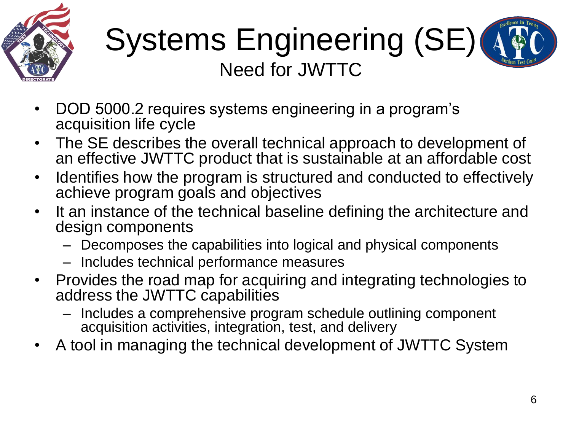

#### Systems Engineering (SE) (4) Need for JWTTC

- DOD 5000.2 requires systems engineering in a program's acquisition life cycle
- The SE describes the overall technical approach to development of an effective JWTTC product that is sustainable at an affordable cost
- Identifies how the program is structured and conducted to effectively achieve program goals and objectives
- It an instance of the technical baseline defining the architecture and design components
	- Decomposes the capabilities into logical and physical components
	- Includes technical performance measures
- Provides the road map for acquiring and integrating technologies to address the JWTTC capabilities
	- Includes a comprehensive program schedule outlining component acquisition activities, integration, test, and delivery
- A tool in managing the technical development of JWTTC System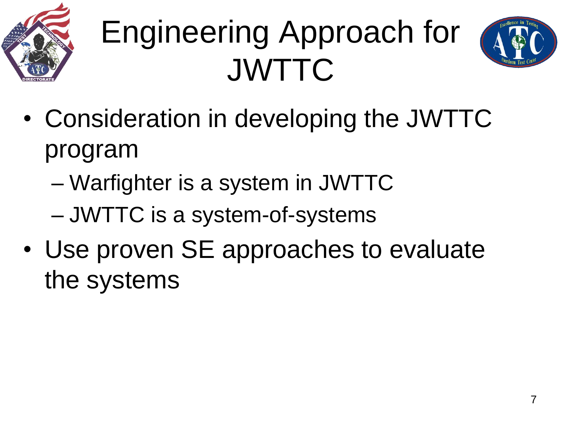

#### Engineering Approach for JWTTC



- Consideration in developing the JWTTC program
	- Warfighter is a system in JWTTC
	- JWTTC is a system-of-systems
- Use proven SE approaches to evaluate the systems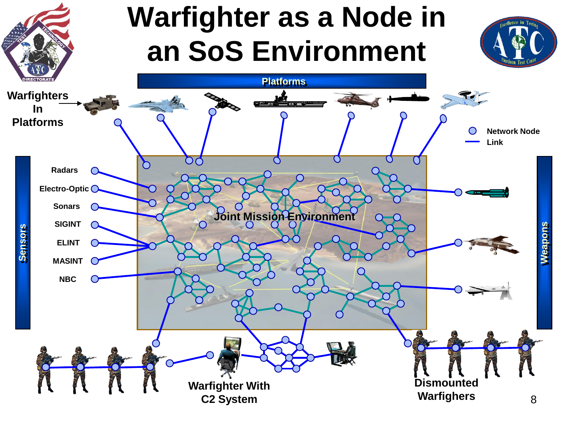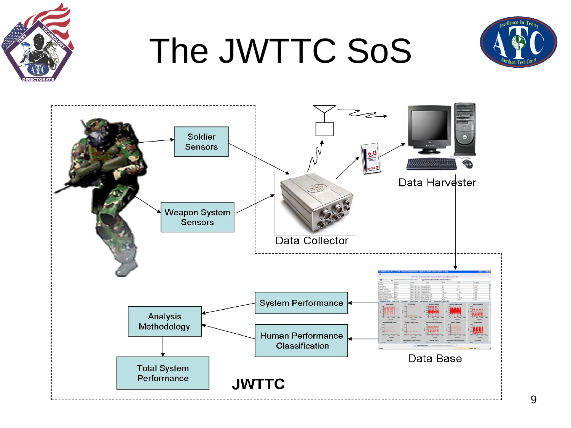

#### The JWTTC SoS



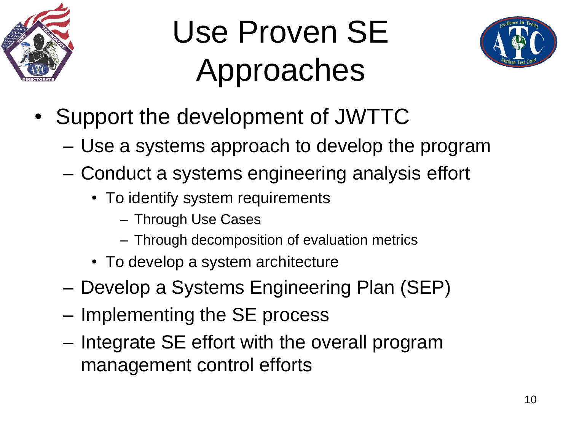

#### Use Proven SE Approaches



- Support the development of JWTTC
	- Use a systems approach to develop the program
	- Conduct a systems engineering analysis effort
		- To identify system requirements
			- Through Use Cases
			- Through decomposition of evaluation metrics
		- To develop a system architecture
	- Develop a Systems Engineering Plan (SEP)
	- Implementing the SE process
	- Integrate SE effort with the overall program management control efforts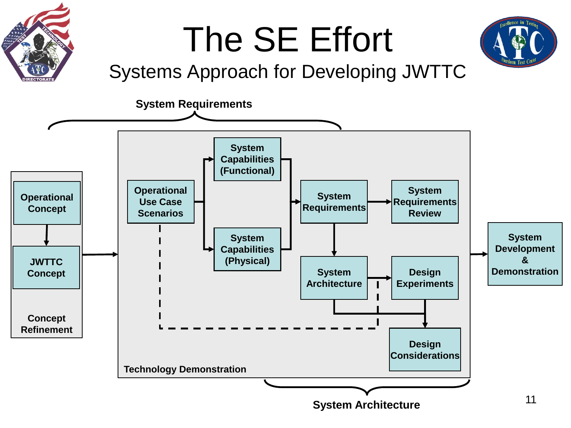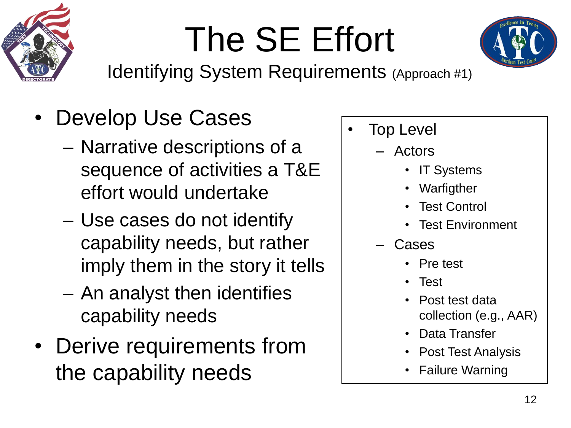



Identifying System Requirements (Approach #1)

- Develop Use Cases
	- Narrative descriptions of a sequence of activities a T&E effort would undertake
	- Use cases do not identify capability needs, but rather imply them in the story it tells
	- An analyst then identifies capability needs
- Derive requirements from the capability needs
- **Top Level** 
	- Actors
		- IT Systems
		- Warfigther
		- Test Control
		- Test Environment
	- Cases
		- Pre test
		- Test
		- Post test data collection (e.g., AAR)
		- Data Transfer
		- Post Test Analysis
		- Failure Warning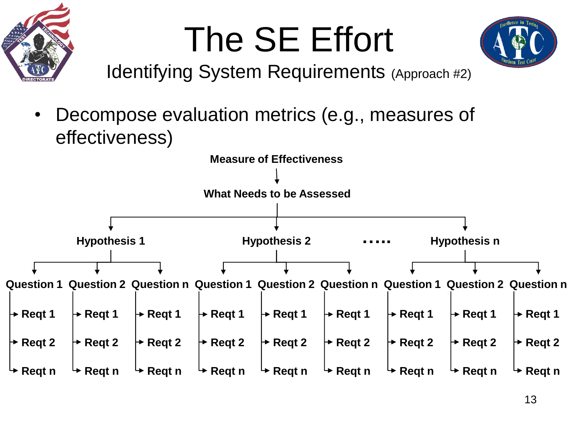



Identifying System Requirements (Approach #2)

• Decompose evaluation metrics (e.g., measures of effectiveness)

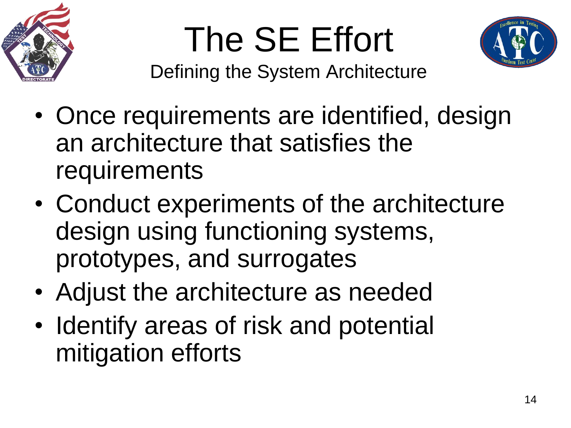



Defining the System Architecture

- Once requirements are identified, design an architecture that satisfies the requirements
- Conduct experiments of the architecture design using functioning systems, prototypes, and surrogates
- Adjust the architecture as needed
- Identify areas of risk and potential mitigation efforts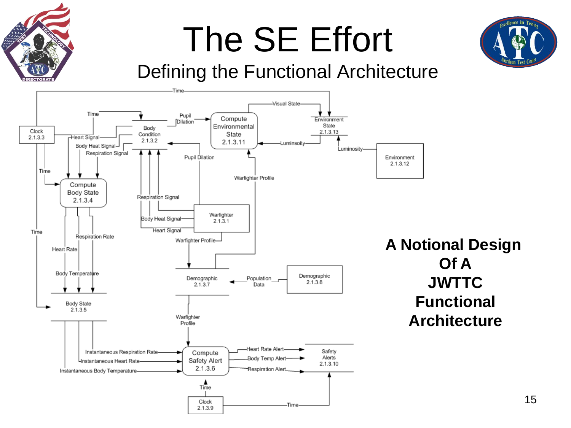

15

#### Defining the Functional Architecture

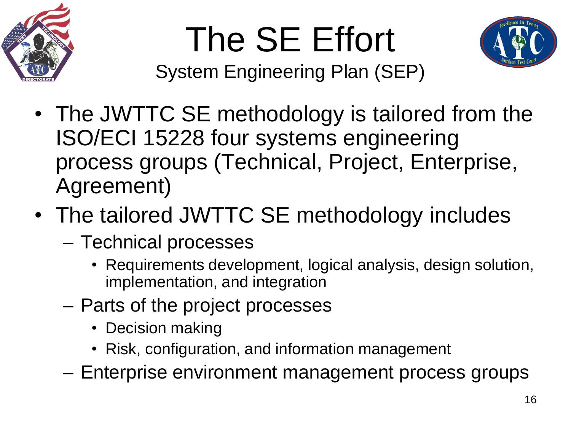



System Engineering Plan (SEP)

- The JWTTC SE methodology is tailored from the ISO/ECI 15228 four systems engineering process groups (Technical, Project, Enterprise, Agreement)
- The tailored JWTTC SE methodology includes
	- Technical processes
		- Requirements development, logical analysis, design solution, implementation, and integration
	- Parts of the project processes
		- Decision making
		- Risk, configuration, and information management
	- Enterprise environment management process groups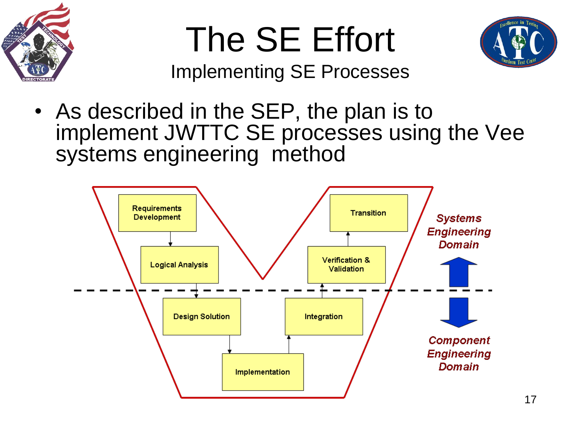



Implementing SE Processes

• As described in the SEP, the plan is to implement JWTTC SE processes using the Vee systems engineering method

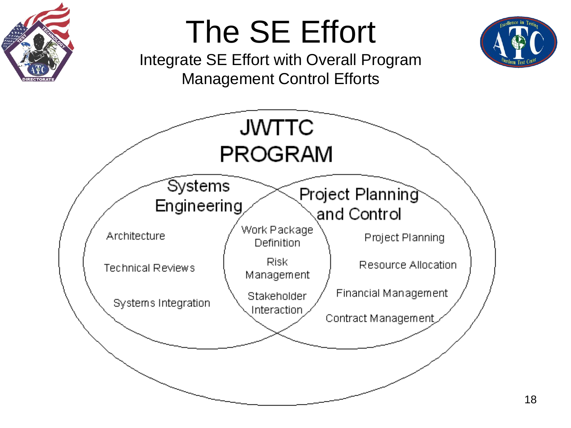